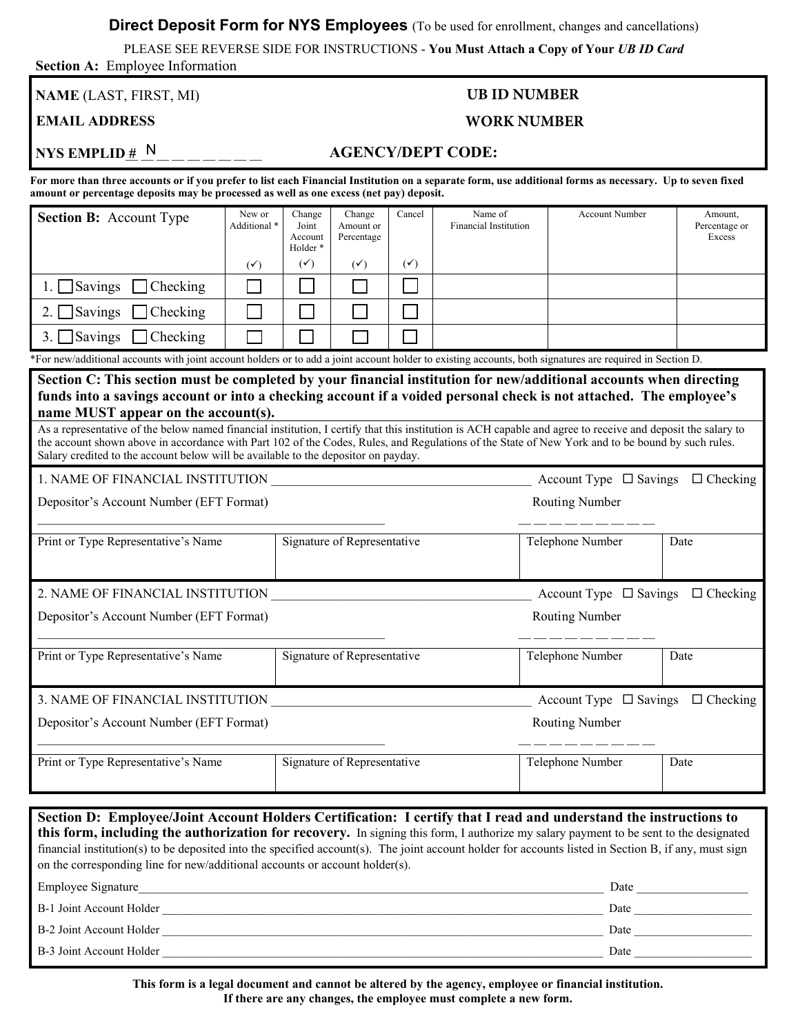**Direct Deposit Form for NYS Employees** (To be used for enrollment, changes and cancellations)

PLEASE SEE REVERSE SIDE FOR INSTRUCTIONS - **You Must Attach a Copy of Your** *UB ID Card*  **Section A:** Employee Information

**NAME** (LAST, FIRST, MI) **UB ID NUMBER** 

## **EMAIL ADDRESS WORK NUMBER**

# **NYS EMPLID**  $\# N$  **\_\_\_\_\_ AGENCY/DEPT CODE:**

 **For more than three accounts or if you prefer to list each Financial Institution on a separate form, use additional forms as necessary. Up to seven fixed amount or percentage deposits may be processed as well as one excess (net pay) deposit.** 

| <b>Section B:</b> Account Type                                                                                                                                                                                                                                                                                                                                                                                     | New or<br>Additional *   | Change<br>Joint<br>Account | Change<br>Amount or<br>Percentage | Cancel         | Name of<br><b>Financial Institution</b> | <b>Account Number</b>                       | Amount,<br>Percentage or<br>Excess |  |
|--------------------------------------------------------------------------------------------------------------------------------------------------------------------------------------------------------------------------------------------------------------------------------------------------------------------------------------------------------------------------------------------------------------------|--------------------------|----------------------------|-----------------------------------|----------------|-----------------------------------------|---------------------------------------------|------------------------------------|--|
|                                                                                                                                                                                                                                                                                                                                                                                                                    | $(\checkmark)$           | Holder*<br>$(\checkmark)$  | $(\checkmark)$                    | $(\checkmark)$ |                                         |                                             |                                    |  |
| $1.$ Savings<br>$\Box$ Checking                                                                                                                                                                                                                                                                                                                                                                                    | $\overline{\phantom{a}}$ |                            |                                   |                |                                         |                                             |                                    |  |
| 2. $\Box$ Savings<br>Checking                                                                                                                                                                                                                                                                                                                                                                                      |                          |                            |                                   |                |                                         |                                             |                                    |  |
| 3. Savings<br><b>Checking</b>                                                                                                                                                                                                                                                                                                                                                                                      |                          |                            |                                   |                |                                         |                                             |                                    |  |
| *For new/additional accounts with joint account holders or to add a joint account holder to existing accounts, both signatures are required in Section D.                                                                                                                                                                                                                                                          |                          |                            |                                   |                |                                         |                                             |                                    |  |
| Section C: This section must be completed by your financial institution for new/additional accounts when directing<br>funds into a savings account or into a checking account if a voided personal check is not attached. The employee's<br>name MUST appear on the account(s).                                                                                                                                    |                          |                            |                                   |                |                                         |                                             |                                    |  |
| As a representative of the below named financial institution, I certify that this institution is ACH capable and agree to receive and deposit the salary to<br>the account shown above in accordance with Part 102 of the Codes, Rules, and Regulations of the State of New York and to be bound by such rules.<br>Salary credited to the account below will be available to the depositor on payday.              |                          |                            |                                   |                |                                         |                                             |                                    |  |
| 1. NAME OF FINANCIAL INSTITUTION                                                                                                                                                                                                                                                                                                                                                                                   |                          |                            |                                   |                |                                         | Account Type $\Box$ Savings $\Box$ Checking |                                    |  |
| Depositor's Account Number (EFT Format)<br><b>Routing Number</b>                                                                                                                                                                                                                                                                                                                                                   |                          |                            |                                   |                |                                         |                                             |                                    |  |
| Print or Type Representative's Name                                                                                                                                                                                                                                                                                                                                                                                |                          |                            | Signature of Representative       |                |                                         | Telephone Number                            | Date                               |  |
| 2. NAME OF FINANCIAL INSTITUTION<br>Account Type $\Box$ Savings $\Box$ Checking                                                                                                                                                                                                                                                                                                                                    |                          |                            |                                   |                |                                         |                                             |                                    |  |
| Depositor's Account Number (EFT Format)                                                                                                                                                                                                                                                                                                                                                                            |                          |                            |                                   |                |                                         | Routing Number                              |                                    |  |
| Print or Type Representative's Name                                                                                                                                                                                                                                                                                                                                                                                |                          |                            | Signature of Representative       |                |                                         | Telephone Number                            | Date                               |  |
| 3. NAME OF FINANCIAL INSTITUTION                                                                                                                                                                                                                                                                                                                                                                                   |                          |                            |                                   |                |                                         | Account Type $\Box$ Savings $\Box$ Checking |                                    |  |
| Depositor's Account Number (EFT Format)                                                                                                                                                                                                                                                                                                                                                                            |                          |                            |                                   |                |                                         | <b>Routing Number</b>                       |                                    |  |
| Print or Type Representative's Name                                                                                                                                                                                                                                                                                                                                                                                |                          |                            | Signature of Representative       |                |                                         | Telephone Number                            | Date                               |  |
|                                                                                                                                                                                                                                                                                                                                                                                                                    |                          |                            |                                   |                |                                         |                                             |                                    |  |
| Section D: Employee/Joint Account Holders Certification: I certify that I read and understand the instructions to<br>this form, including the authorization for recovery. In signing this form, I authorize my salary payment to be sent to the designated<br>financial institution(s) to be deposited into the specified account(s). The joint account holder for accounts listed in Section B, if any, must sign |                          |                            |                                   |                |                                         |                                             |                                    |  |

| <b>Employee Signature</b> | Date |
|---------------------------|------|
| B-1 Joint Account Holder  | Date |
| B-2 Joint Account Holder  | Date |
| B-3 Joint Account Holder  | Date |

on the corresponding line for new/additional accounts or account holder(s).

 **This form is a legal document and cannot be altered by the agency, employee or financial institution. If there are any changes, the employee must complete a new form.**